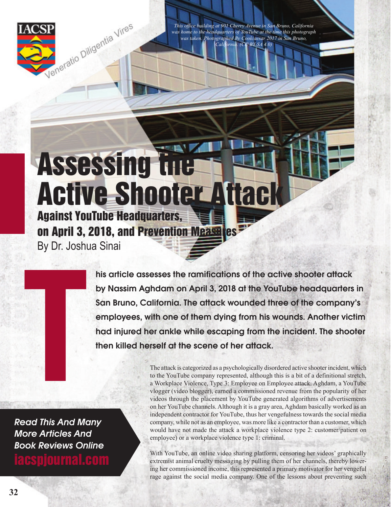

*This office building at 901 Cherry Avenue in San Bruno, California was home to the headquarters of YouTube at the time this photograph was taken. Photographed By Coolcaesar 2017 in San Bruno, California. (CC BY-SA 4.0)*

**Assessing the** Active Shooter Attack Against YouTube Headquarters, on April 3, 2018, and Prevention Measures

By Dr. Joshua Sinai

his article assesses the ramifications of the active shooter attack by Nassim Aghdam on April 3, 2018 at the YouTube headquarters in San Bruno, California. The attack wounded three of the company's employees, with one of them dying from his wounds. Another victim had injured her ankle while escaping from the incident. The shooter the scene of the model of the scene of the scene of the scene of the scene of the minimization of the scene of them dying from his v had injured her ankle while escaping from the then killed herself at the scene of her att

Read This And Many More Articles And Book Reviews Online

iacspjournal.com

The attack is categorized as a psychologically disordered active shooter incident, which to the YouTube company represented, although this is a bit of a definitional stretch, a Workplace Violence, Type 3: Employee on Employee attack. Aghdam, a YouTube vlogger (video blogger), earned a commissioned revenue from the popularity of her videos through the placement by YouTube generated algorithms of advertisements on her YouTube channels. Although it is a gray area, Aghdam basically worked as an independent contractor for YouTube, thus her vengefulness towards the social media company, while not as an employee, was more like a contractor than a customer, which would have not made the attack a workplace violence type 2: customer/patient on employee) or a workplace violence type 1: criminal.

With YouTube, an online video sharing platform, censoring her videos' graphically extremist animal cruelty messaging by pulling them of her channels, thereby lowering her commissioned income, this represented a primary motivator for her vengeful rage against the social media company. One of the lessons about preventing such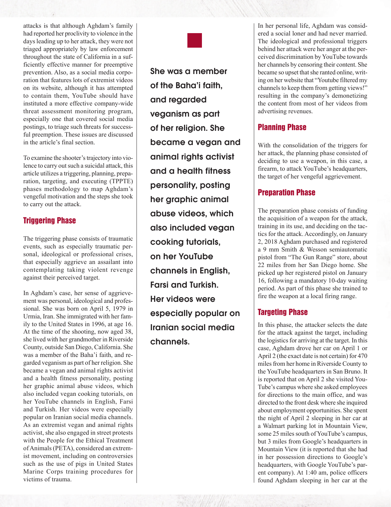attacks is that although Aghdam's family had reported her proclivity to violence in the days leading up to her attack, they were not triaged appropriately by law enforcement throughout the state of California in a sufficiently effective manner for preemptive prevention. Also, as a social media corporation that features lots of extremist videos on its website, although it has attempted to contain them, YouTube should have instituted a more effective company-wide threat assessment monitoring program, especially one that covered social media postings, to triage such threats for successful preemption. These issues are discussed in the article's final section.

To examine the shooter's trajectory into violence to carry out such a suicidal attack, this article utilizes a triggering, planning, preparation, targeting, and executing (TPPTE) phases methodology to map Aghdam's vengeful motivation and the steps she took to carry out the attack.

# Triggering Phase

The triggering phase consists of traumatic events, such as especially traumatic personal, ideological or professional crises, that especially aggrieve an assailant into contemplating taking violent revenge against their perceived target.

In Aghdam's case, her sense of aggrievement was personal, ideological and professional. She was born on April 5, 1979 in Urmia, Iran. She immigrated with her family to the United States in 1996, at age 16. At the time of the shooting, now aged 38, she lived with her grandmother in Riverside County, outside San Diego, California. She was a member of the Baha'i faith, and regarded veganism as part of her religion. She became a vegan and animal rights activist and a health fitness personality, posting her graphic animal abuse videos, which also included vegan cooking tutorials, on her YouTube channels in English, Farsi and Turkish. Her videos were especially popular on Iranian social media channels. As an extremist vegan and animal rights activist, she also engaged in street protests with the People for the Ethical Treatment of Animals (PETA), considered an extremist movement, including on controversies such as the use of pigs in United States Marine Corps training procedures for victims of trauma.

She was a member of the Baha'i faith, and regarded veganism as part of her religion. She became a vegan and animal rights activist and a health fitness personality, posting her graphic animal abuse videos, which also included vegan cooking tutorials, on her YouTube channels in English, Farsi and Turkish. Her videos were especially popular on Iranian social media channels.

In her personal life, Aghdam was considered a social loner and had never married. The ideological and professional triggers behind her attack were her anger at the perceived discrimination by YouTube towards her channels by censoring their content. She became so upset that she ranted online, writing on her website that "Youtube filtered my channels to keep them from getting views!" resulting in the company's demonetizing the content from most of her videos from advertising revenues.

## Planning Phase

With the consolidation of the triggers for her attack, the planning phase consisted of deciding to use a weapon, in this case, a firearm, to attack YouTube's headquarters, the target of her vengeful aggrievement.

## Preparation Phase

The preparation phase consists of funding the acquisition of a weapon for the attack, training in its use, and deciding on the tactics for the attack. Accordingly, on January 2, 2018 Aghdam purchased and registered a 9 mm Smith & Wesson semiautomatic pistol from "The Gun Range" store, about 22 miles from her San Diego home. She picked up her registered pistol on January 16, following a mandatory 10-day waiting period. As part of this phase she trained to fire the weapon at a local firing range.

# Targeting Phase

In this phase, the attacker selects the date for the attack against the target, including the logistics for arriving at the target. In this case, Aghdam drove her car on April 1 or April 2 (the exact date is not certain) for 470 miles from her home in Riverside County to the YouTube headquarters in San Bruno. It is reported that on April 2 she visited You-Tube's campus where she asked employees for directions to the main office, and was directed to the front desk where she inquired about employment opportunities. She spent the night of April 2 sleeping in her car at a Walmart parking lot in Mountain View, some 25 miles south of YouTube's campus, but 3 miles from Google's headquarters in Mountain View (it is reported that she had in her possession directions to Google's headquarters, with Google YouTube's parent company). At 1:40 am, police officers found Aghdam sleeping in her car at the